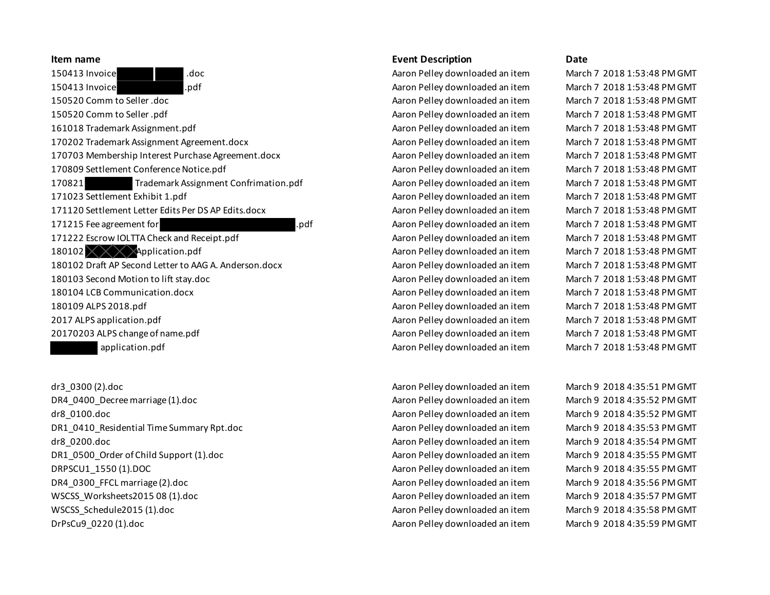150413 Invoice .doc Aaron Pelley downloaded an item March 7 2018 1:53:48 PM GMT 150413 Invoice .pdf Aaron Pelley downloaded an item March 7 2018 1:53:48 PM GMT 150520 Comm to Seller .doc Aaron Pelley downloaded an item March 7 2018 1:53:48 PM GMT 150520 Comm to Seller .pdf Aaron Pelley downloaded an item March 7 2018 1:53:48 PM GMT 161018 Trademark Assignment.pdf Aaron Pelley downloaded an item March 7 2018 1:53:48 PM GMT 170202 Trademark Assignment Agreement.docx Aaron Pelley downloaded an item March 7 2018 1:53:48 PM GMT 170703 Membership Interest Purchase Agreement.docx Aaron Pelley downloaded an item March 7 2018 1:53:48 PM GMT 170809 Settlement Conference Notice.pdf **Acker Active Active Active Aaron Pelley downloaded an item** March 7 2018 1:53:48 PM GMT 170821 Trademark Assignment Confrimation.pdf Aaron Pelley downloaded an item March 7 2018 1:53:48 PM GMT 171023 Settlement Exhibit 1.pdf **Acker Acker Acker Acker Acker Adam** Aaron Pelley downloaded an item March 7 2018 1:53:48 PM GMT 171120 Settlement Letter Edits Per DS AP Edits.docx Aaron Pelley downloaded an item March 7 2018 1:53:48 PM GMT 171215 Fee agreement for **.pdf Acron Pelley downloaded an item** March 7 2018 1:53:48 PM GMT 171222 Escrow IOLTTA Check and Receipt.pdf **Aaron Pelley downloaded an item** March 7 2018 1:53:48 PM GMT 180102  $\times$   $\times$   $\times$  Application.pdf  $\cdot$  Aaron Pelley downloaded an item March 7 2018 1:53:48 PM GMT 180102 Draft AP Second Letter to AAG A. Anderson.docx Aaron Pelley downloaded an item March 7 2018 1:53:48 PM GMT 180103 Second Motion to lift stay.doc Aaron Pelley downloaded an item March 7 2018 1:53:48 PM GMT 180104 LCB Communication.docx Aaron Pelley downloaded an item March 7 2018 1:53:48 PM GMT 180109 ALPS 2018.pdf Aaron Pelley downloaded an item March 7 2018 1:53:48 PM GMT 2017 ALPS application.pdf Aaron Pelley downloaded an item March 7 2018 1:53:48 PM GMT 20170203 ALPS change of name.pdf Aaron Pelley downloaded an item March 7 2018 1:53:48 PM GMT application.pdf Aaron Pelley downloaded an item March 7 2018 1:53:48 PM GMT

dr3\_0300 (2).doc Aaron Pelley downloaded an item March 9 2018 4:35:51 PM GMT DR4 0400 Decree marriage (1).doc entries the March 9 2018 4:35:52 PM GMT Annual Aaron Pelley downloaded an item March 9 2018 4:35:52 PM GMT dr8\_0100.doc Aaron Pelley downloaded an item March 9 2018 4:35:52 PM GMT DR1\_0410\_Residential Time Summary Rpt.doc Aaron Pelley downloaded an item March 9 2018 4:35:53 PM GMT dr8 0200.doc **Abreed Acts and Acts and Acts Acts A**aron Pelley downloaded an item March 9 2018 4:35:54 PM GMT DR1\_0500\_Order of Child Support (1).doc extending the Aaron Pelley downloaded an item March 9 2018 4:35:55 PM GMT DRPSCU1\_1550 (1).DOC **Acker and Accept and Accept Accept Accept Accept Accept Accept Accept Accept Accept Accept** DR4 0300 FFCL marriage (2).doc entries and the March 9 2018 4:35:56 PM GMT Annual March 9 2018 4:35:56 PM GMT WSCSS Worksheets2015 08 (1).doc **Acker Access 12 Constructed Access 2018 4:35:57 PM GMT** March 9 2018 4:35:57 PM GMT WSCSS\_Schedule2015 (1).doc **Abril 2018 19:46 (1).doc** Aaron Pelley downloaded an item March 9 2018 4:35:58 PM GMT DrPsCu9\_0220 (1).doc Aaron Pelley downloaded an item March 9 2018 4:35:59 PM GMT

## **Item name Event Description Date**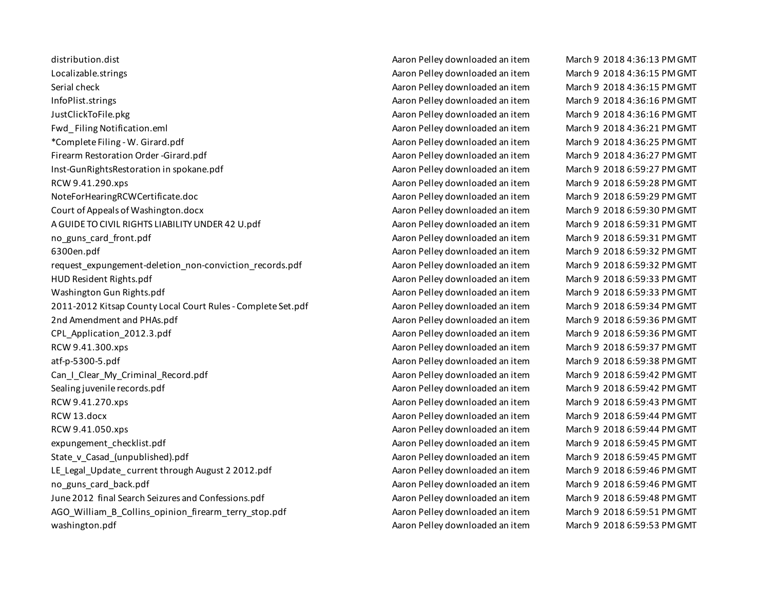distribution.dist Aaron Pelley downloaded an item March 9 2018 4:36:13 PM GMT Localizable.strings Agrees According Aaron Pelley downloaded an item March 9 2018 4:36:15 PM GMT Serial check Aaron Pelley downloaded an item March 9 2018 4:36:15 PM GMT InfoPlist.strings **Aaron Pelley downloaded an item** March 9 2018 4:36:16 PM GMT JustClickToFile.pkg Aaron Pelley downloaded an item March 9 2018 4:36:16 PM GMT Fwd Filing Notification.eml **Acker Act and Accept Act Act Act Act A**aron Pelley downloaded an item March 9 2018 4:36:21 PM GMT \*Complete Filing - W. Girard.pdf Aaron Pelley downloaded an item March 9 2018 4:36:25 PM GMT Firearm Restoration Order -Girard.pdf Aaron Pelley downloaded an item March 9 2018 4:36:27 PM GMT Inst-GunRightsRestoration in spokane.pdf **Acker Active Active Active Active Aaron Pelley downloaded an item** March 9 2018 6:59:27 PM GMT RCW 9.41.290.xps Aaron Pelley downloaded an item March 9 2018 6:59:28 PM GMT NoteForHearingRCWCertificate.doc Aaron Pelley downloaded an item March 9 2018 6:59:29 PM GMT Court of Appeals of Washington.docx Aaron Pelley downloaded an item March 9 2018 6:59:30 PM GMT A GUIDE TO CIVIL RIGHTS LIABILITY UNDER 42 U.pdf  $\blacksquare$  Aaron Pelley downloaded an item March 9 2018 6:59:31 PM GMT no\_guns\_card\_front.pdf Aaron Pelley downloaded an item March 9 2018 6:59:31 PM GMT 6300en.pdf Aaron Pelley downloaded an item March 9 2018 6:59:32 PM GMT request expungement-deletion non-conviction records.pdf Aaron Pelley downloaded an item March 9 2018 6:59:32 PM GMT HUD Resident Rights.pdf Aaron Pelley downloaded an item March 9 2018 6:59:33 PM GMT Washington Gun Rights.pdf Nation Abreaded Aaron Pelley downloaded an item March 9 2018 6:59:33 PM GMT 2011-2012 Kitsap County Local Court Rules - Complete Set.pdf Aaron Pelley downloaded an item March 9 2018 6:59:34 PM GMT 2nd Amendment and PHAs.pdf Aaron Pelley downloaded an item March 9 2018 6:59:36 PM GMT CPL\_Application\_2012.3.pdf Aaron Pelley downloaded an item March 9 2018 6:59:36 PM GMT RCW 9.41.300.xps Aaron Pelley downloaded an item March 9 2018 6:59:37 PM GMT atf-p-5300-5.pdf Aaron Pelley downloaded an item March 9 2018 6:59:38 PM GMT Can I Clear My Criminal Record.pdf **Acron Across Acron Pelley downloaded an item** March 9 2018 6:59:42 PM GMT Sealing juvenile records.pdf **Acron 2018 6:59:42 PM GMT** Aaron Pelley downloaded an item March 9 2018 6:59:42 PM GMT RCW 9.41.270.xps Aaron Pelley downloaded an item March 9 2018 6:59:43 PM GMT RCW 13.docx Aaron Pelley downloaded an item March 9 2018 6:59:44 PM GMT RCW 9.41.050.xps Aaron Pelley downloaded an item March 9 2018 6:59:44 PM GMT expungement checklist.pdf Aaron Pelley downloaded an item March 9 2018 6:59:45 PM GMT State v Casad (unpublished).pdf Aaron Pelley downloaded an item March 9 2018 6:59:45 PM GMT LE Legal Update current through August 2 2012.pdf Alter Abraham Aaron Pelley downloaded an item March 9 2018 6:59:46 PM GMT no guns card back.pdf Aaron Pelley downloaded an item March 9 2018 6:59:46 PM GMT June 2012 final Search Seizures and Confessions.pdf Alto Aaron Pelley downloaded an item March 9 2018 6:59:48 PM GMT AGO\_William\_B\_Collins\_opinion\_firearm\_terry\_stop.pdf Aaron Pelley downloaded an item March 9 2018 6:59:51 PM GMT washington.pdf **Agrees Acronomized Acronomized Aaron Pelley downloaded an item** March 9 2018 6:59:53 PM GMT